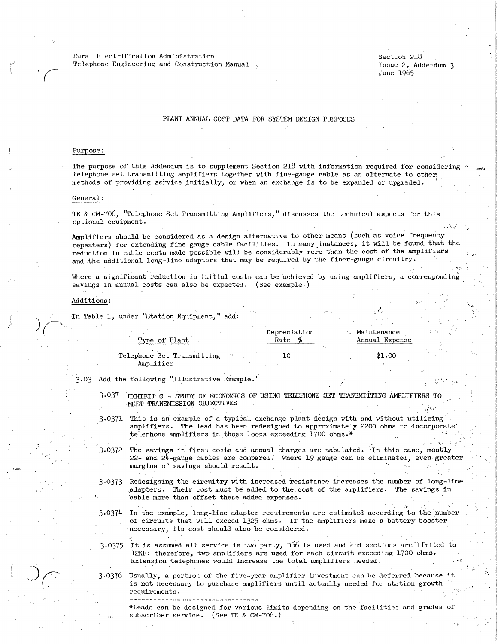Rural Electrification Administration Telephone Engineering and Construction Manual . Section 218 Issue 2, Addendum 3 June 1965

 $\cdot$   $\cdot$   $\cdot$ 

i r·

## PLANT ANNUAL COST DATA FOR SYSTEM DESIGN PURPOSES

## Purpose:

*(* 

The purpose of this Addendum is to supplement Section  $218$  with information required for considering telephone set transmitting amplifiers together with fine-gauge cable as an alternate to other methods of providing service initially, or when an exchange is to be expanded or upgraded.

## General:

TE & CM-7o6, "Telephone Set Transmitting Amplifiers," discusses the technical aspects for this optional equipment.

Amplifiers should be considered as a design alternative to other means (such as voice frequency repeaters) for extending fine gauge cable facilities. In many\_instances, it will be found that the reduction in cable costs made possible will be considerably more than the cost of the amplifiers and the additional long-line adapters that may be required by the finer-gauge circuitry.

Where a significant reduction in initial costs can be achieved by using amplifiers, a corresponding savings in annual costs can also be expected. (See example.)

## Additions:

In Table I, under "Station Equipment," add:

| Type of Plant                           | Depreciation<br>Rate |  | <b>Maintenance</b><br>Annual Expense |
|-----------------------------------------|----------------------|--|--------------------------------------|
| Telephone Set Transmitting<br>Amplifier |                      |  | \$1.00                               |

3.03 Add the following "Illustrative Example."

. .

- 3.037 "EXHIBIT G S'IUDY OF ECONOMICS OF USING TELEPHONE SET TRANSMITI'ING AMPLIFIERS TO ·MEET TRANSMISSION OBJECTIVES
- 3.0371 This is an example of a typical exchange plant design with and without utilizing· amplifiers. The lead has been redesigned to approximately 2200 ohms to incorporate telephone amplifiers in those loops exceeding 1700 ohms.\* - .. · \_\_\_\_ . . - --.
- 3.0372 The savings in first costs and annual charges are tabulated. In this case, mostly 22- and 24-gauge cables are compared. Where 19 gauge can be eliminated, even greate margins of savings should result.
- 3.0373 Redesigning the circuitry with increased resistance increases the number of long-line adapters. Their cost must be added to the cost of the amplifiers. The savings in 'cable more than offset these added expenses.
- 3.0374 In the example, long-line adapter requirements are estimated according to the number of circuits that will exceed 1325 ohms. If the amplifiers make a battery booster necessary, its cost should also be considered.
- 3.0375 It is assumed all service is two party, D66 is used and end sections are limited to 12KF; therefore, two amplifiers are used for each circuit exceeding 1700 ohms. Extension telephones would increase the total amplifiers needed.
- $3.0376$  Usually, a portion of the five-year amplifier investment can be deferred because it is not necessary to purchase amplifiers until actually needed for station growth requirements.

\*Leads can be designed for various limits depending on the facilities and grades of subscriber service. (See TE & CM-706.)